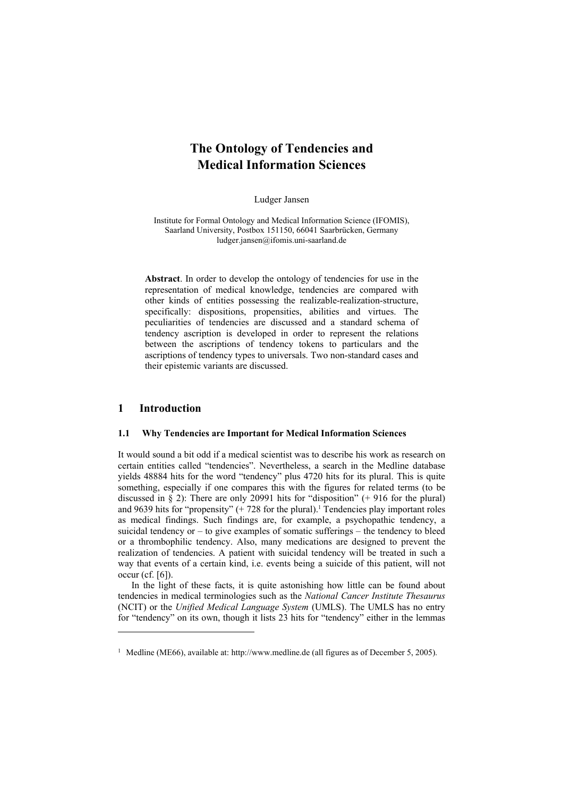# **The Ontology of Tendencies and Medical Information Sciences**

Ludger Jansen

Institute for Formal Ontology and Medical Information Science (IFOMIS), Saarland University, Postbox 151150, 66041 Saarbrücken, Germany ludger.jansen@ifomis.uni-saarland.de

**Abstract**. In order to develop the ontology of tendencies for use in the representation of medical knowledge, tendencies are compared with other kinds of entities possessing the realizable-realization-structure, specifically: dispositions, propensities, abilities and virtues. The peculiarities of tendencies are discussed and a standard schema of tendency ascription is developed in order to represent the relations between the ascriptions of tendency tokens to particulars and the ascriptions of tendency types to universals. Two non-standard cases and their epistemic variants are discussed.

## **1 Introduction**

l

## **1.1 Why Tendencies are Important for Medical Information Sciences**

It would sound a bit odd if a medical scientist was to describe his work as research on certain entities called "tendencies". Nevertheless, a search in the Medline database yields 48884 hits for the word "tendency" plus 4720 hits for its plural. This is quite something, especially if one compares this with the figures for related terms (to be discussed in  $\S$  2): There are only 20991 hits for "disposition" (+ 916 for the plural) and 9639 hits for "propensity"  $(+ 728$  for the plural).<sup>1</sup> Tendencies play important roles as medical findings. Such findings are, for example, a psychopathic tendency, a suicidal tendency or – to give examples of somatic sufferings – the tendency to bleed or a thrombophilic tendency. Also, many medications are designed to prevent the realization of tendencies. A patient with suicidal tendency will be treated in such a way that events of a certain kind, i.e. events being a suicide of this patient, will not occur (cf. [6]).

In the light of these facts, it is quite astonishing how little can be found about tendencies in medical terminologies such as the *National Cancer Institute Thesaurus* (NCIT) or the *Unified Medical Language System* (UMLS). The UMLS has no entry for "tendency" on its own, though it lists 23 hits for "tendency" either in the lemmas

<sup>&</sup>lt;sup>1</sup> Medline (ME66), available at: http://www.medline.de (all figures as of December 5, 2005).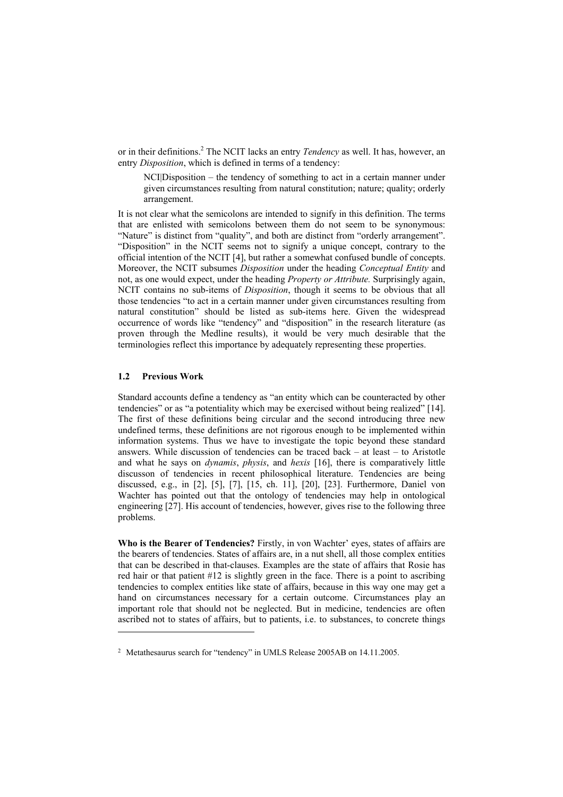or in their definitions.<sup>2</sup> The NCIT lacks an entry *Tendency* as well. It has, however, an entry *Disposition*, which is defined in terms of a tendency:

NCI|Disposition – the tendency of something to act in a certain manner under given circumstances resulting from natural constitution; nature; quality; orderly arrangement.

It is not clear what the semicolons are intended to signify in this definition. The terms that are enlisted with semicolons between them do not seem to be synonymous: "Nature" is distinct from "quality", and both are distinct from "orderly arrangement". "Disposition" in the NCIT seems not to signify a unique concept, contrary to the official intention of the NCIT [4], but rather a somewhat confused bundle of concepts. Moreover, the NCIT subsumes *Disposition* under the heading *Conceptual Entity* and not, as one would expect, under the heading *Property or Attribute.* Surprisingly again, NCIT contains no sub-items of *Disposition*, though it seems to be obvious that all those tendencies "to act in a certain manner under given circumstances resulting from natural constitution" should be listed as sub-items here. Given the widespread occurrence of words like "tendency" and "disposition" in the research literature (as proven through the Medline results), it would be very much desirable that the terminologies reflect this importance by adequately representing these properties.

#### **1.2 Previous Work**

l

Standard accounts define a tendency as "an entity which can be counteracted by other tendencies" or as "a potentiality which may be exercised without being realized" [14]. The first of these definitions being circular and the second introducing three new undefined terms, these definitions are not rigorous enough to be implemented within information systems. Thus we have to investigate the topic beyond these standard answers. While discussion of tendencies can be traced back – at least – to Aristotle and what he says on *dynamis*, *physis*, and *hexis* [16], there is comparatively little discusson of tendencies in recent philosophical literature. Tendencies are being discussed, e.g., in [2], [5], [7], [15, ch. 11], [20], [23]. Furthermore, Daniel von Wachter has pointed out that the ontology of tendencies may help in ontological engineering [27]. His account of tendencies, however, gives rise to the following three problems.

**Who is the Bearer of Tendencies?** Firstly, in von Wachter' eyes, states of affairs are the bearers of tendencies. States of affairs are, in a nut shell, all those complex entities that can be described in that-clauses. Examples are the state of affairs that Rosie has red hair or that patient  $\#12$  is slightly green in the face. There is a point to ascribing tendencies to complex entities like state of affairs, because in this way one may get a hand on circumstances necessary for a certain outcome. Circumstances play an important role that should not be neglected. But in medicine, tendencies are often ascribed not to states of affairs, but to patients, i.e. to substances, to concrete things

<sup>&</sup>lt;sup>2</sup> Metathesaurus search for "tendency" in UMLS Release 2005AB on 14.11.2005.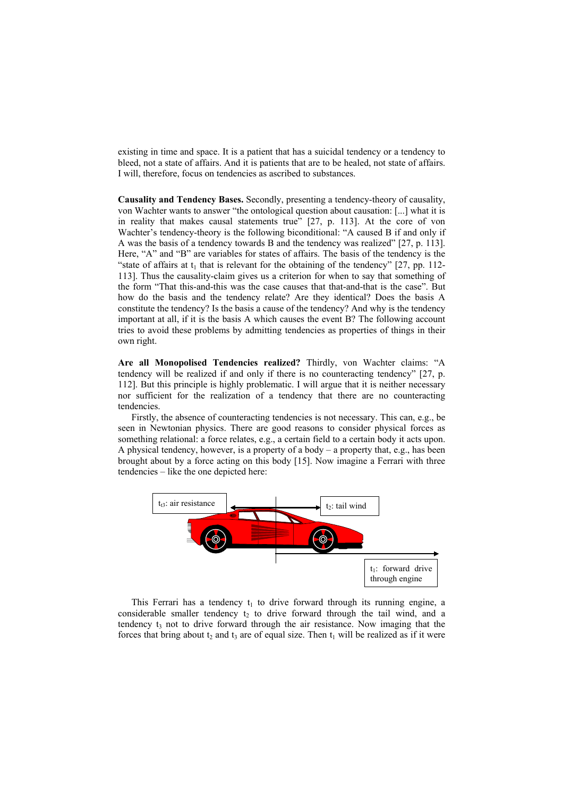existing in time and space. It is a patient that has a suicidal tendency or a tendency to bleed, not a state of affairs. And it is patients that are to be healed, not state of affairs. I will, therefore, focus on tendencies as ascribed to substances.

**Causality and Tendency Bases.** Secondly, presenting a tendency-theory of causality, von Wachter wants to answer "the ontological question about causation: [...] what it is in reality that makes causal statements true" [27, p. 113]. At the core of von Wachter's tendency-theory is the following biconditional: "A caused B if and only if A was the basis of a tendency towards B and the tendency was realized" [27, p. 113]. Here, "A" and "B" are variables for states of affairs. The basis of the tendency is the "state of affairs at  $t_1$  that is relevant for the obtaining of the tendency" [27, pp. 112-113]. Thus the causality-claim gives us a criterion for when to say that something of the form "That this-and-this was the case causes that that-and-that is the case". But how do the basis and the tendency relate? Are they identical? Does the basis A constitute the tendency? Is the basis a cause of the tendency? And why is the tendency important at all, if it is the basis A which causes the event B? The following account tries to avoid these problems by admitting tendencies as properties of things in their own right.

**Are all Monopolised Tendencies realized?** Thirdly, von Wachter claims: "A tendency will be realized if and only if there is no counteracting tendency" [27, p. 112]. But this principle is highly problematic. I will argue that it is neither necessary nor sufficient for the realization of a tendency that there are no counteracting tendencies.

Firstly, the absence of counteracting tendencies is not necessary. This can, e.g., be seen in Newtonian physics. There are good reasons to consider physical forces as something relational: a force relates, e.g., a certain field to a certain body it acts upon. A physical tendency, however, is a property of a body – a property that, e.g., has been brought about by a force acting on this body [15]. Now imagine a Ferrari with three tendencies – like the one depicted here:



This Ferrari has a tendency  $t_1$  to drive forward through its running engine, a considerable smaller tendency  $t<sub>2</sub>$  to drive forward through the tail wind, and a tendency  $t_3$  not to drive forward through the air resistance. Now imaging that the forces that bring about  $t_2$  and  $t_3$  are of equal size. Then  $t_1$  will be realized as if it were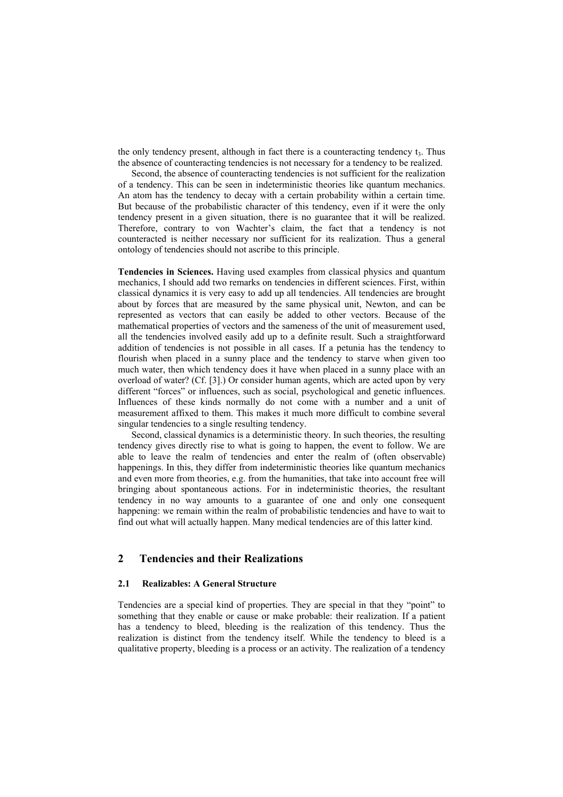the only tendency present, although in fact there is a counteracting tendency  $t<sub>3</sub>$ . Thus the absence of counteracting tendencies is not necessary for a tendency to be realized.

Second, the absence of counteracting tendencies is not sufficient for the realization of a tendency. This can be seen in indeterministic theories like quantum mechanics. An atom has the tendency to decay with a certain probability within a certain time. But because of the probabilistic character of this tendency, even if it were the only tendency present in a given situation, there is no guarantee that it will be realized. Therefore, contrary to von Wachter's claim, the fact that a tendency is not counteracted is neither necessary nor sufficient for its realization. Thus a general ontology of tendencies should not ascribe to this principle.

**Tendencies in Sciences.** Having used examples from classical physics and quantum mechanics, I should add two remarks on tendencies in different sciences. First, within classical dynamics it is very easy to add up all tendencies. All tendencies are brought about by forces that are measured by the same physical unit, Newton, and can be represented as vectors that can easily be added to other vectors. Because of the mathematical properties of vectors and the sameness of the unit of measurement used, all the tendencies involved easily add up to a definite result. Such a straightforward addition of tendencies is not possible in all cases. If a petunia has the tendency to flourish when placed in a sunny place and the tendency to starve when given too much water, then which tendency does it have when placed in a sunny place with an overload of water? (Cf. [3].) Or consider human agents, which are acted upon by very different "forces" or influences, such as social, psychological and genetic influences. Influences of these kinds normally do not come with a number and a unit of measurement affixed to them. This makes it much more difficult to combine several singular tendencies to a single resulting tendency.

Second, classical dynamics is a deterministic theory. In such theories, the resulting tendency gives directly rise to what is going to happen, the event to follow. We are able to leave the realm of tendencies and enter the realm of (often observable) happenings. In this, they differ from indeterministic theories like quantum mechanics and even more from theories, e.g. from the humanities, that take into account free will bringing about spontaneous actions. For in indeterministic theories, the resultant tendency in no way amounts to a guarantee of one and only one consequent happening: we remain within the realm of probabilistic tendencies and have to wait to find out what will actually happen. Many medical tendencies are of this latter kind.

## **2 Tendencies and their Realizations**

## **2.1 Realizables: A General Structure**

Tendencies are a special kind of properties. They are special in that they "point" to something that they enable or cause or make probable: their realization. If a patient has a tendency to bleed, bleeding is the realization of this tendency. Thus the realization is distinct from the tendency itself. While the tendency to bleed is a qualitative property, bleeding is a process or an activity. The realization of a tendency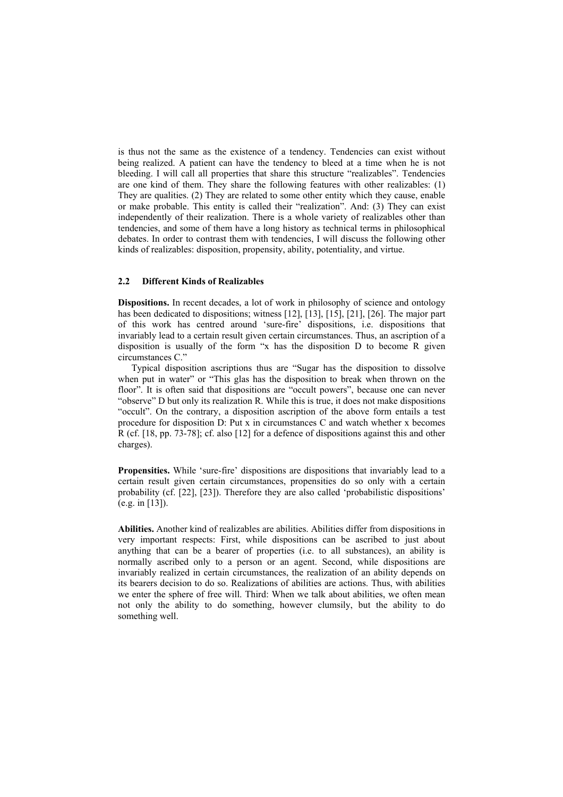is thus not the same as the existence of a tendency. Tendencies can exist without being realized. A patient can have the tendency to bleed at a time when he is not bleeding. I will call all properties that share this structure "realizables". Tendencies are one kind of them. They share the following features with other realizables: (1) They are qualities. (2) They are related to some other entity which they cause, enable or make probable. This entity is called their "realization". And: (3) They can exist independently of their realization. There is a whole variety of realizables other than tendencies, and some of them have a long history as technical terms in philosophical debates. In order to contrast them with tendencies, I will discuss the following other kinds of realizables: disposition, propensity, ability, potentiality, and virtue.

#### **2.2 Different Kinds of Realizables**

**Dispositions.** In recent decades, a lot of work in philosophy of science and ontology has been dedicated to dispositions; witness [12], [13], [15], [21], [26]. The major part of this work has centred around 'sure-fire' dispositions, i.e. dispositions that invariably lead to a certain result given certain circumstances. Thus, an ascription of a disposition is usually of the form "x has the disposition D to become R given circumstances C."

Typical disposition ascriptions thus are "Sugar has the disposition to dissolve when put in water" or "This glas has the disposition to break when thrown on the floor". It is often said that dispositions are "occult powers", because one can never "observe" D but only its realization R. While this is true, it does not make dispositions "occult". On the contrary, a disposition ascription of the above form entails a test procedure for disposition D: Put x in circumstances C and watch whether x becomes R (cf. [18, pp. 73-78]; cf. also [12] for a defence of dispositions against this and other charges).

**Propensities.** While 'sure-fire' dispositions are dispositions that invariably lead to a certain result given certain circumstances, propensities do so only with a certain probability (cf. [22], [23]). Therefore they are also called 'probabilistic dispositions' (e.g. in [13]).

**Abilities.** Another kind of realizables are abilities. Abilities differ from dispositions in very important respects: First, while dispositions can be ascribed to just about anything that can be a bearer of properties (i.e. to all substances), an ability is normally ascribed only to a person or an agent. Second, while dispositions are invariably realized in certain circumstances, the realization of an ability depends on its bearers decision to do so. Realizations of abilities are actions. Thus, with abilities we enter the sphere of free will. Third: When we talk about abilities, we often mean not only the ability to do something, however clumsily, but the ability to do something well.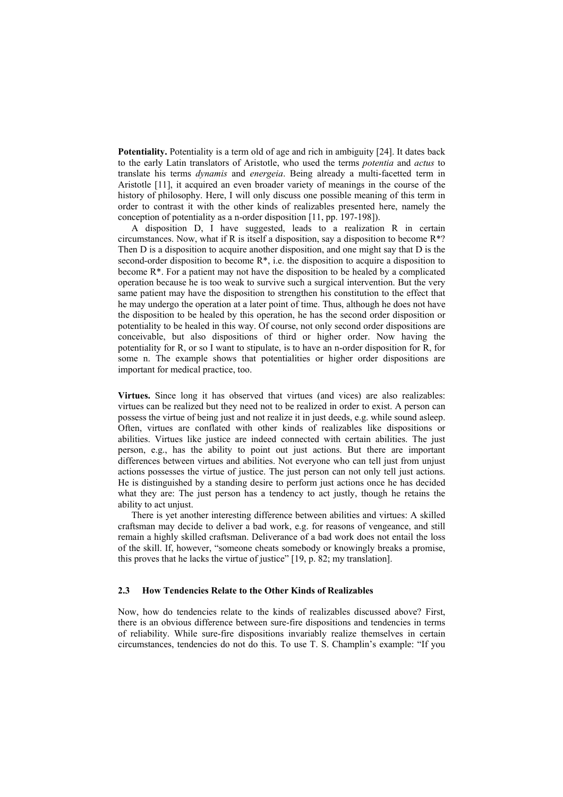**Potentiality.** Potentiality is a term old of age and rich in ambiguity [24]. It dates back to the early Latin translators of Aristotle, who used the terms *potentia* and *actus* to translate his terms *dynamis* and *energeia*. Being already a multi-facetted term in Aristotle [11], it acquired an even broader variety of meanings in the course of the history of philosophy. Here, I will only discuss one possible meaning of this term in order to contrast it with the other kinds of realizables presented here, namely the conception of potentiality as a n-order disposition [11, pp. 197-198]).

A disposition D, I have suggested, leads to a realization R in certain circumstances. Now, what if R is itself a disposition, say a disposition to become  $R^*$ ? Then D is a disposition to acquire another disposition, and one might say that D is the second-order disposition to become R\*, i.e. the disposition to acquire a disposition to become  $R^*$ . For a patient may not have the disposition to be healed by a complicated operation because he is too weak to survive such a surgical intervention. But the very same patient may have the disposition to strengthen his constitution to the effect that he may undergo the operation at a later point of time. Thus, although he does not have the disposition to be healed by this operation, he has the second order disposition or potentiality to be healed in this way. Of course, not only second order dispositions are conceivable, but also dispositions of third or higher order. Now having the potentiality for R, or so I want to stipulate, is to have an n-order disposition for R, for some n. The example shows that potentialities or higher order dispositions are important for medical practice, too.

**Virtues.** Since long it has observed that virtues (and vices) are also realizables: virtues can be realized but they need not to be realized in order to exist. A person can possess the virtue of being just and not realize it in just deeds, e.g. while sound asleep. Often, virtues are conflated with other kinds of realizables like dispositions or abilities. Virtues like justice are indeed connected with certain abilities. The just person, e.g., has the ability to point out just actions. But there are important differences between virtues and abilities. Not everyone who can tell just from unjust actions possesses the virtue of justice. The just person can not only tell just actions. He is distinguished by a standing desire to perform just actions once he has decided what they are: The just person has a tendency to act justly, though he retains the ability to act unjust.

There is yet another interesting difference between abilities and virtues: A skilled craftsman may decide to deliver a bad work, e.g. for reasons of vengeance, and still remain a highly skilled craftsman. Deliverance of a bad work does not entail the loss of the skill. If, however, "someone cheats somebody or knowingly breaks a promise, this proves that he lacks the virtue of justice" [19, p. 82; my translation].

#### **2.3 How Tendencies Relate to the Other Kinds of Realizables**

Now, how do tendencies relate to the kinds of realizables discussed above? First, there is an obvious difference between sure-fire dispositions and tendencies in terms of reliability. While sure-fire dispositions invariably realize themselves in certain circumstances, tendencies do not do this. To use T. S. Champlin's example: "If you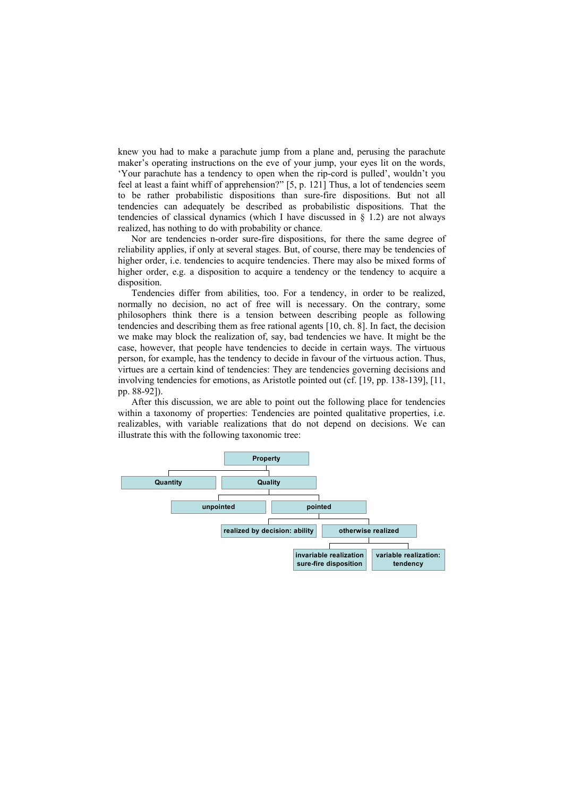knew you had to make a parachute jump from a plane and, perusing the parachute maker's operating instructions on the eve of your jump, your eyes lit on the words, 'Your parachute has a tendency to open when the rip-cord is pulled', wouldn't you feel at least a faint whiff of apprehension?" [5, p. 121] Thus, a lot of tendencies seem to be rather probabilistic dispositions than sure-fire dispositions. But not all tendencies can adequately be described as probabilistic dispositions. That the tendencies of classical dynamics (which I have discussed in  $\S$  1.2) are not always realized, has nothing to do with probability or chance.

Nor are tendencies n-order sure-fire dispositions, for there the same degree of reliability applies, if only at several stages. But, of course, there may be tendencies of higher order, i.e. tendencies to acquire tendencies. There may also be mixed forms of higher order, e.g. a disposition to acquire a tendency or the tendency to acquire a disposition.

Tendencies differ from abilities, too. For a tendency, in order to be realized, normally no decision, no act of free will is necessary. On the contrary, some philosophers think there is a tension between describing people as following tendencies and describing them as free rational agents [10, ch. 8]. In fact, the decision we make may block the realization of, say, bad tendencies we have. It might be the case, however, that people have tendencies to decide in certain ways. The virtuous person, for example, has the tendency to decide in favour of the virtuous action. Thus, virtues are a certain kind of tendencies: They are tendencies governing decisions and involving tendencies for emotions, as Aristotle pointed out (cf. [19, pp. 138-139], [11, pp. 88-92]).

After this discussion, we are able to point out the following place for tendencies within a taxonomy of properties: Tendencies are pointed qualitative properties, *i.e.* realizables, with variable realizations that do not depend on decisions. We can illustrate this with the following taxonomic tree:

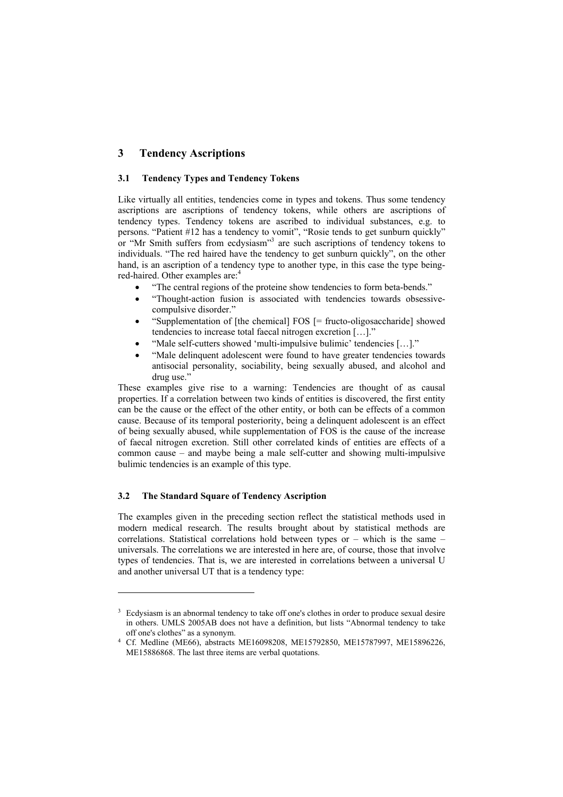## **3 Tendency Ascriptions**

#### **3.1 Tendency Types and Tendency Tokens**

Like virtually all entities, tendencies come in types and tokens. Thus some tendency ascriptions are ascriptions of tendency tokens, while others are ascriptions of tendency types. Tendency tokens are ascribed to individual substances, e.g. to persons. "Patient #12 has a tendency to vomit", "Rosie tends to get sunburn quickly" or "Mr Smith suffers from ecdysiasm"<sup>3</sup> are such ascriptions of tendency tokens to individuals. "The red haired have the tendency to get sunburn quickly", on the other hand, is an ascription of a tendency type to another type, in this case the type beingred-haired. Other examples are:<sup>4</sup>

- "The central regions of the proteine show tendencies to form beta-bends."
- "Thought-action fusion is associated with tendencies towards obsessivecompulsive disorder."
- "Supplementation of [the chemical] FOS [= fructo-oligosaccharide] showed tendencies to increase total faecal nitrogen excretion […]."
- "Male self-cutters showed 'multi-impulsive bulimic' tendencies […]."
- "Male delinquent adolescent were found to have greater tendencies towards antisocial personality, sociability, being sexually abused, and alcohol and drug use.'

These examples give rise to a warning: Tendencies are thought of as causal properties. If a correlation between two kinds of entities is discovered, the first entity can be the cause or the effect of the other entity, or both can be effects of a common cause. Because of its temporal posteriority, being a delinquent adolescent is an effect of being sexually abused, while supplementation of FOS is the cause of the increase of faecal nitrogen excretion. Still other correlated kinds of entities are effects of a common cause – and maybe being a male self-cutter and showing multi-impulsive bulimic tendencies is an example of this type.

## **3.2 The Standard Square of Tendency Ascription**

l

The examples given in the preceding section reflect the statistical methods used in modern medical research. The results brought about by statistical methods are correlations. Statistical correlations hold between types or – which is the same – universals. The correlations we are interested in here are, of course, those that involve types of tendencies. That is, we are interested in correlations between a universal U and another universal UT that is a tendency type:

<sup>&</sup>lt;sup>3</sup> Ecdysiasm is an abnormal tendency to take off one's clothes in order to produce sexual desire in others. UMLS 2005AB does not have a definition, but lists "Abnormal tendency to take off one's clothes" as a synonym.

<sup>4</sup> Cf. Medline (ME66), abstracts ME16098208, ME15792850, ME15787997, ME15896226, ME15886868. The last three items are verbal quotations.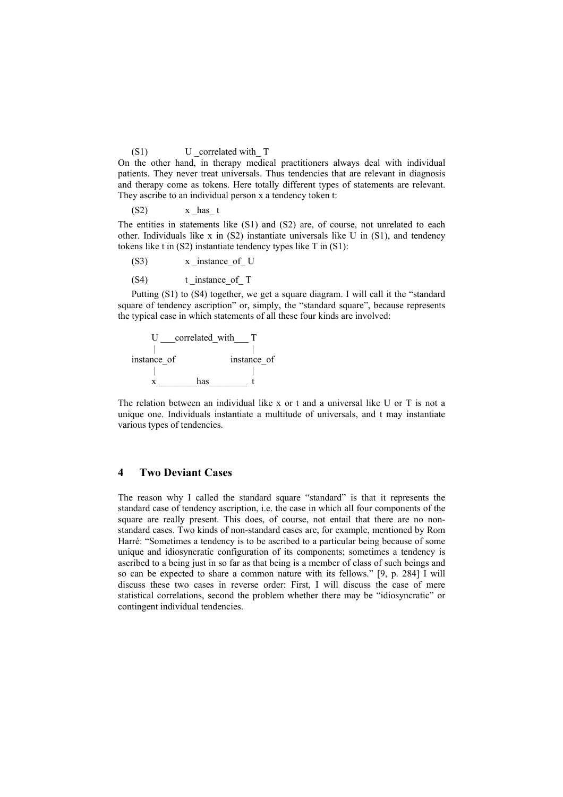## (S1) U correlated with T

On the other hand, in therapy medical practitioners always deal with individual patients. They never treat universals. Thus tendencies that are relevant in diagnosis and therapy come as tokens. Here totally different types of statements are relevant. They ascribe to an individual person x a tendency token t:

 $(S2)$  x has t

The entities in statements like (S1) and (S2) are, of course, not unrelated to each other. Individuals like x in  $(S2)$  instantiate universals like U in  $(S1)$ , and tendency tokens like t in (S2) instantiate tendency types like T in (S1):

 $(x)$  x instance of U

(S4) t instance of T

Putting (S1) to (S4) together, we get a square diagram. I will call it the "standard square of tendency ascription" or, simply, the "standard square", because represents the typical case in which statements of all these four kinds are involved:



The relation between an individual like x or t and a universal like U or T is not a unique one. Individuals instantiate a multitude of universals, and t may instantiate various types of tendencies.

## **4 Two Deviant Cases**

The reason why I called the standard square "standard" is that it represents the standard case of tendency ascription, i.e. the case in which all four components of the square are really present. This does, of course, not entail that there are no nonstandard cases. Two kinds of non-standard cases are, for example, mentioned by Rom Harré: "Sometimes a tendency is to be ascribed to a particular being because of some unique and idiosyncratic configuration of its components; sometimes a tendency is ascribed to a being just in so far as that being is a member of class of such beings and so can be expected to share a common nature with its fellows." [9, p. 284] I will discuss these two cases in reverse order: First, I will discuss the case of mere statistical correlations, second the problem whether there may be "idiosyncratic" or contingent individual tendencies.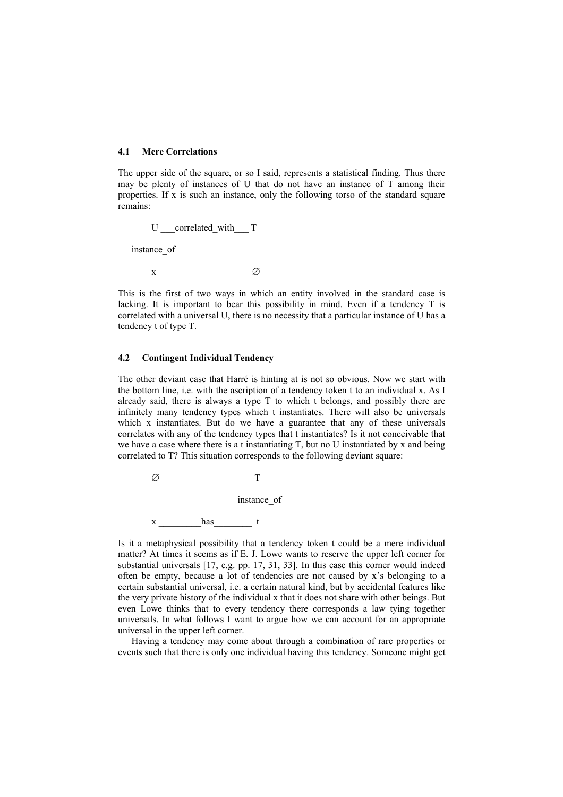## **4.1 Mere Correlations**

The upper side of the square, or so I said, represents a statistical finding. Thus there may be plenty of instances of U that do not have an instance of T among their properties. If x is such an instance, only the following torso of the standard square remains:

U \_\_\_correlated\_with\_\_\_ T | instance\_of  $\blacksquare$ x  $\oslash$ 

This is the first of two ways in which an entity involved in the standard case is lacking. It is important to bear this possibility in mind. Even if a tendency T is correlated with a universal U, there is no necessity that a particular instance of U has a tendency t of type T.

#### **4.2 Contingent Individual Tendency**

The other deviant case that Harré is hinting at is not so obvious. Now we start with the bottom line, i.e. with the ascription of a tendency token t to an individual x. As I already said, there is always a type T to which t belongs, and possibly there are infinitely many tendency types which t instantiates. There will also be universals which x instantiates. But do we have a guarantee that any of these universals correlates with any of the tendency types that t instantiates? Is it not conceivable that we have a case where there is a t instantiating T, but no U instantiated by x and being correlated to T? This situation corresponds to the following deviant square:



Is it a metaphysical possibility that a tendency token t could be a mere individual matter? At times it seems as if E. J. Lowe wants to reserve the upper left corner for substantial universals [17, e.g. pp. 17, 31, 33]. In this case this corner would indeed often be empty, because a lot of tendencies are not caused by x's belonging to a certain substantial universal, i.e. a certain natural kind, but by accidental features like the very private history of the individual x that it does not share with other beings. But even Lowe thinks that to every tendency there corresponds a law tying together universals. In what follows I want to argue how we can account for an appropriate universal in the upper left corner.

Having a tendency may come about through a combination of rare properties or events such that there is only one individual having this tendency. Someone might get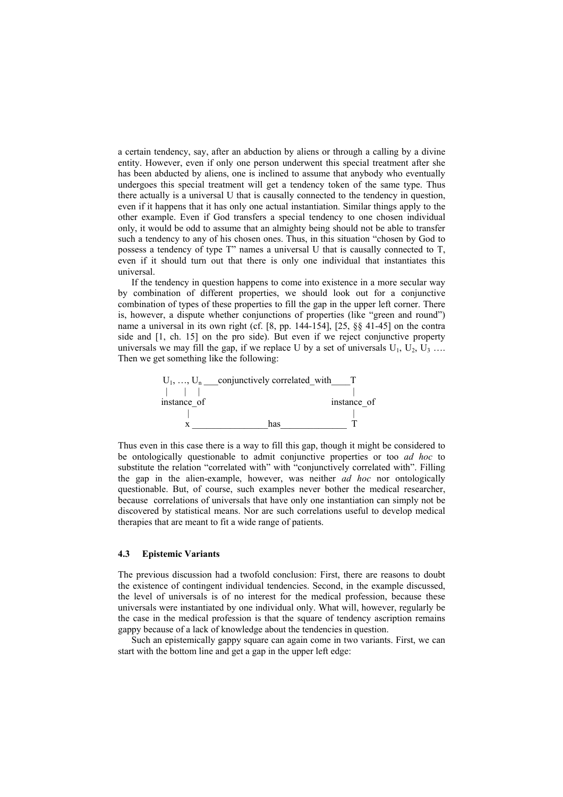a certain tendency, say, after an abduction by aliens or through a calling by a divine entity. However, even if only one person underwent this special treatment after she has been abducted by aliens, one is inclined to assume that anybody who eventually undergoes this special treatment will get a tendency token of the same type. Thus there actually is a universal U that is causally connected to the tendency in question, even if it happens that it has only one actual instantiation. Similar things apply to the other example. Even if God transfers a special tendency to one chosen individual only, it would be odd to assume that an almighty being should not be able to transfer such a tendency to any of his chosen ones. Thus, in this situation "chosen by God to possess a tendency of type T" names a universal U that is causally connected to T, even if it should turn out that there is only one individual that instantiates this universal.

If the tendency in question happens to come into existence in a more secular way by combination of different properties, we should look out for a conjunctive combination of types of these properties to fill the gap in the upper left corner. There is, however, a dispute whether conjunctions of properties (like "green and round") name a universal in its own right (cf. [8, pp. 144-154], [25, §§ 41-45] on the contra side and [1, ch. 15] on the pro side). But even if we reject conjunctive property universals we may fill the gap, if we replace U by a set of universals  $U_1$ ,  $U_2$ ,  $U_3$  ... Then we get something like the following:



Thus even in this case there is a way to fill this gap, though it might be considered to be ontologically questionable to admit conjunctive properties or too *ad hoc* to substitute the relation "correlated with" with "conjunctively correlated with". Filling the gap in the alien-example, however, was neither *ad hoc* nor ontologically questionable. But, of course, such examples never bother the medical researcher, because correlations of universals that have only one instantiation can simply not be discovered by statistical means. Nor are such correlations useful to develop medical therapies that are meant to fit a wide range of patients.

#### **4.3 Epistemic Variants**

The previous discussion had a twofold conclusion: First, there are reasons to doubt the existence of contingent individual tendencies. Second, in the example discussed, the level of universals is of no interest for the medical profession, because these universals were instantiated by one individual only. What will, however, regularly be the case in the medical profession is that the square of tendency ascription remains gappy because of a lack of knowledge about the tendencies in question.

Such an epistemically gappy square can again come in two variants. First, we can start with the bottom line and get a gap in the upper left edge: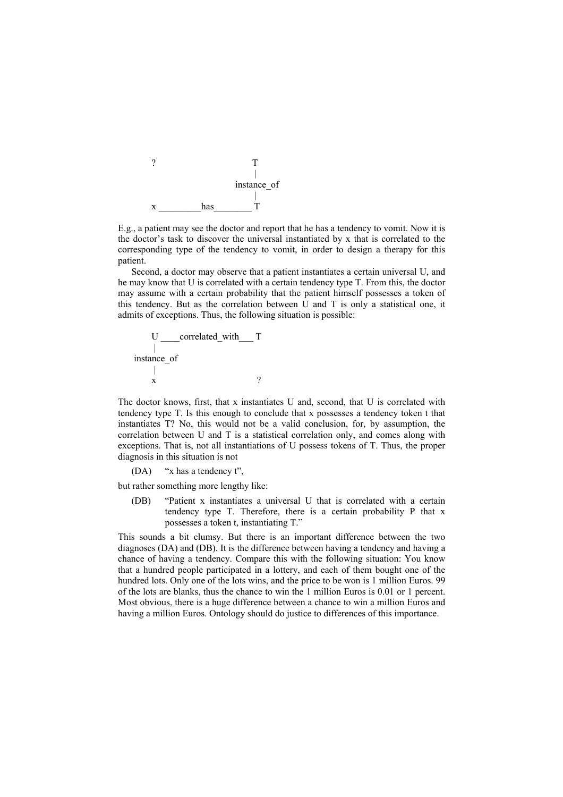

E.g., a patient may see the doctor and report that he has a tendency to vomit. Now it is the doctor's task to discover the universal instantiated by x that is correlated to the corresponding type of the tendency to vomit, in order to design a therapy for this patient.

Second, a doctor may observe that a patient instantiates a certain universal U, and he may know that U is correlated with a certain tendency type T. From this, the doctor may assume with a certain probability that the patient himself possesses a token of this tendency. But as the correlation between U and T is only a statistical one, it admits of exceptions. Thus, the following situation is possible:

$$
U \underbrace{\qquad \qquad \text{correlated\_with} \qquad \qquad} \qquad T
$$
\n
$$
\begin{array}{c}\n \text{instance\_of} \\
\mid \\
x\n \end{array}
$$

The doctor knows, first, that x instantiates U and, second, that U is correlated with tendency type T. Is this enough to conclude that x possesses a tendency token t that instantiates T? No, this would not be a valid conclusion, for, by assumption, the correlation between U and T is a statistical correlation only, and comes along with exceptions. That is, not all instantiations of U possess tokens of T. Thus, the proper diagnosis in this situation is not

(DA) "x has a tendency t",

but rather something more lengthy like:

(DB) "Patient x instantiates a universal U that is correlated with a certain tendency type T. Therefore, there is a certain probability P that x possesses a token t, instantiating T."

This sounds a bit clumsy. But there is an important difference between the two diagnoses (DA) and (DB). It is the difference between having a tendency and having a chance of having a tendency. Compare this with the following situation: You know that a hundred people participated in a lottery, and each of them bought one of the hundred lots. Only one of the lots wins, and the price to be won is 1 million Euros. 99 of the lots are blanks, thus the chance to win the 1 million Euros is 0.01 or 1 percent. Most obvious, there is a huge difference between a chance to win a million Euros and having a million Euros. Ontology should do justice to differences of this importance.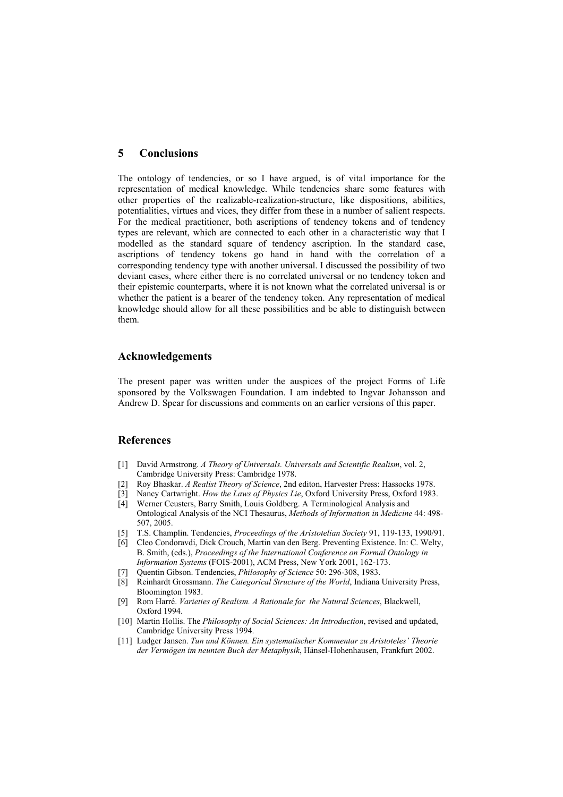## **5 Conclusions**

The ontology of tendencies, or so I have argued, is of vital importance for the representation of medical knowledge. While tendencies share some features with other properties of the realizable-realization-structure, like dispositions, abilities, potentialities, virtues and vices, they differ from these in a number of salient respects. For the medical practitioner, both ascriptions of tendency tokens and of tendency types are relevant, which are connected to each other in a characteristic way that I modelled as the standard square of tendency ascription. In the standard case, ascriptions of tendency tokens go hand in hand with the correlation of a corresponding tendency type with another universal. I discussed the possibility of two deviant cases, where either there is no correlated universal or no tendency token and their epistemic counterparts, where it is not known what the correlated universal is or whether the patient is a bearer of the tendency token. Any representation of medical knowledge should allow for all these possibilities and be able to distinguish between them.

## **Acknowledgements**

The present paper was written under the auspices of the project Forms of Life sponsored by the Volkswagen Foundation. I am indebted to Ingvar Johansson and Andrew D. Spear for discussions and comments on an earlier versions of this paper.

## **References**

- [1] David Armstrong. *A Theory of Universals. Universals and Scientific Realism*, vol. 2, Cambridge University Press: Cambridge 1978.
- [2] Roy Bhaskar. *A Realist Theory of Science*, 2nd editon, Harvester Press: Hassocks 1978.
- [3] Nancy Cartwright. *How the Laws of Physics Lie*, Oxford University Press, Oxford 1983.
- [4] Werner Ceusters, Barry Smith, Louis Goldberg. A Terminological Analysis and Ontological Analysis of the NCI Thesaurus, *Methods of Information in Medicine* 44: 498- 507, 2005.
- [5] T.S. Champlin. Tendencies, *Proceedings of the Aristotelian Society* 91, 119-133, 1990/91.
- [6] Cleo Condoravdi, Dick Crouch, Martin van den Berg. Preventing Existence. In: C. Welty, B. Smith, (eds.), *Proceedings of the International Conference on Formal Ontology in Information Systems* (FOIS-2001), ACM Press, New York 2001, 162-173.
- [7] Quentin Gibson. Tendencies, *Philosophy of Science* 50: 296-308, 1983.
- [8] Reinhardt Grossmann. *The Categorical Structure of the World*, Indiana University Press, Bloomington 1983.
- [9] Rom Harré. *Varieties of Realism. A Rationale for the Natural Sciences*, Blackwell, Oxford 1994.
- [10] Martin Hollis. The *Philosophy of Social Sciences: An Introduction*, revised and updated, Cambridge University Press 1994.
- [11] Ludger Jansen. *Tun und Können. Ein systematischer Kommentar zu Aristoteles' Theorie der Vermögen im neunten Buch der Metaphysik*, Hänsel-Hohenhausen, Frankfurt 2002.